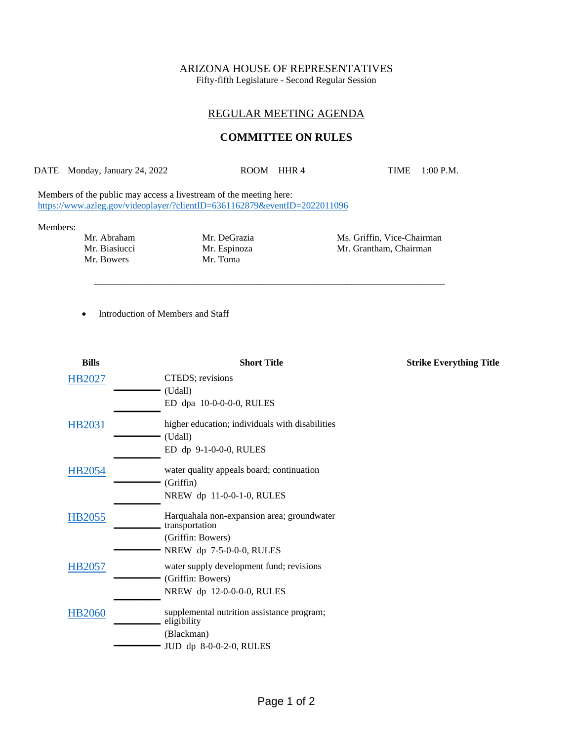# ARIZONA HOUSE OF REPRESENTATIVES

Fifty-fifth Legislature - Second Regular Session

## REGULAR MEETING AGENDA

### **COMMITTEE ON RULES**

DATE Monday, January 24, 2022 ROOM HHR 4 TIME 1:00 P.M.

\_\_\_\_\_\_\_\_\_\_\_\_\_\_\_\_\_\_\_\_\_\_\_\_\_\_\_\_\_\_\_\_\_\_\_\_\_\_\_\_\_\_\_\_\_\_\_\_\_\_\_\_\_\_\_\_\_\_\_\_\_\_\_\_\_\_\_\_\_\_\_\_\_\_\_

Members of the public may access a livestream of the meeting here: <https://www.azleg.gov/videoplayer/?clientID=6361162879&eventID=2022011096>

#### Members:

Mr. Bowers

Mr. Biasiucci Mr. Espinoza Mr. Grantham, Chairman Mr. Bowers Mr. Toma

Mr. Abraham Mr. DeGrazia Mr. Mis. Griffin, Vice-Chairman<br>Mr. Biasiucci Mr. Espinoza Mr. Grantham, Chairman

• Introduction of Members and Staff

| <b>Bills</b>  | <b>Short Title</b>                              | <b>Strike Everything Title</b> |
|---------------|-------------------------------------------------|--------------------------------|
| HB2027        | CTEDS; revisions                                |                                |
|               | (Udall)                                         |                                |
|               | ED dpa 10-0-0-0-0, RULES                        |                                |
| HB2031        | higher education; individuals with disabilities |                                |
|               | (Udall)                                         |                                |
|               | ED dp 9-1-0-0-0, RULES                          |                                |
| HB2054        | water quality appeals board; continuation       |                                |
|               | (Griffin)                                       |                                |
|               | NREW dp 11-0-0-1-0, RULES                       |                                |
| HB2055        | Harquahala non-expansion area; groundwater      |                                |
|               | transportation                                  |                                |
|               | (Griffin: Bowers)                               |                                |
|               | NREW dp 7-5-0-0-0, RULES                        |                                |
| <b>HB2057</b> | water supply development fund; revisions        |                                |
|               | (Griffin: Bowers)                               |                                |
|               | NREW dp 12-0-0-0-0, RULES                       |                                |
| <b>HB2060</b> | supplemental nutrition assistance program;      |                                |
|               | eligibility                                     |                                |
|               | (Blackman)                                      |                                |
|               | JUD dp 8-0-0-2-0, RULES                         |                                |